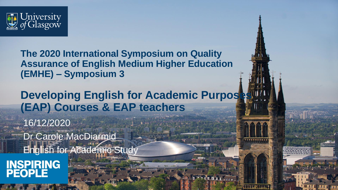

**The 2020 International Symposium on Quality Assurance of English Medium Higher Education (EMHE) – Symposium 3**

**Developing English for Academic Purpos (EAP) Courses & EAP teachers**

16/12/2020 Dr Carole MacDiarmid **English for Academic Study INSPIRING<br>PEOPLE**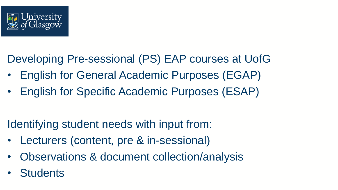

Developing Pre-sessional (PS) EAP courses at UofG

- English for General Academic Purposes (EGAP)
- English for Specific Academic Purposes (ESAP)

Identifying student needs with input from:

- Lecturers (content, pre & in-sessional)
- Observations & document collection/analysis
- **Students**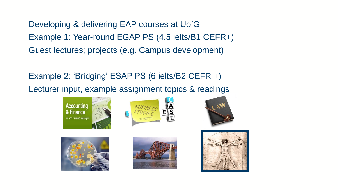Developing & delivering EAP courses at UofG Example 1: Year-round EGAP PS (4.5 ielts/B1 CEFR+) Guest lectures; projects (e.g. Campus development)

Example 2: 'Bridging' ESAP PS (6 ielts/B2 CEFR +) Lecturer input, example assignment topics & readings











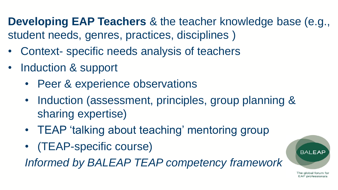**Developing EAP Teachers** & the teacher knowledge base (e.g., student needs, genres, practices, disciplines )

- Context- specific needs analysis of teachers
- Induction & support
	- Peer & experience observations
	- Induction (assessment, principles, group planning & sharing expertise)
	- TEAP 'talking about teaching' mentoring group
	- (TEAP-specific course)

*Informed by BALEAP TEAP competency framework*

The global forum for **EAP** professionals

**BALEAF**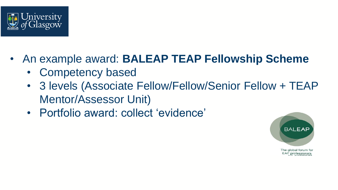

- An example award: **BALEAP TEAP Fellowship Scheme** 
	- Competency based
	- 3 levels (Associate Fellow/Fellow/Senior Fellow + TEAP Mentor/Assessor Unit)
	- Portfolio award: collect 'evidence'



EAP professionals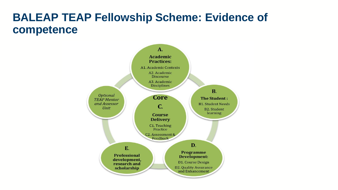## **BALEAP TEAP Fellowship Scheme: Evidence of competence**

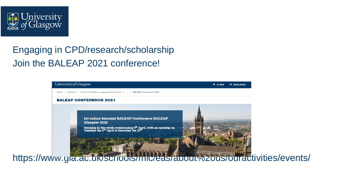

## Engaging in CPD/research/scholarship Join the BALEAP 2021 conference!



https://www.gla.ac.uk/schools/mlc/eas/about%20us/ouractivities/events/